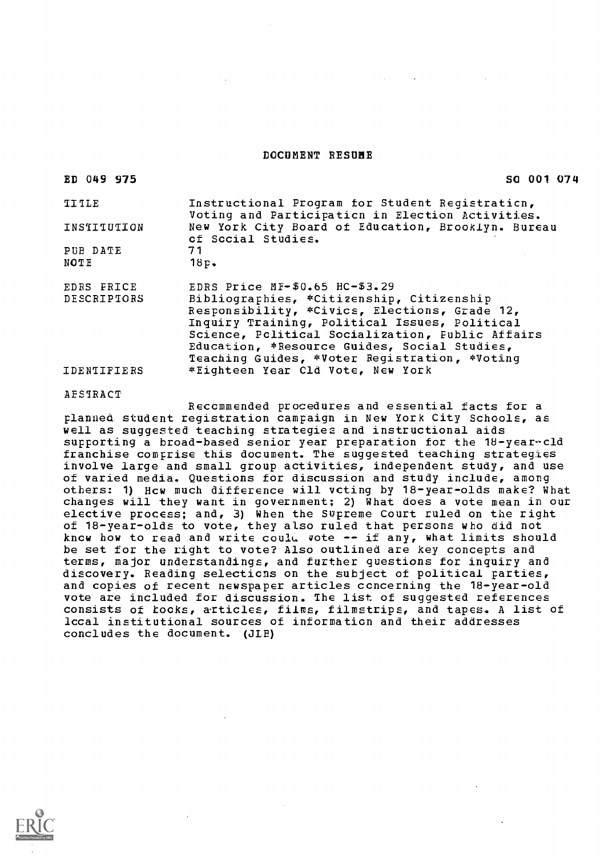DOCUMENT RESUME

| ED 049 975   | SQ 001 074                                                                                                                                                                                                                                                                                       |
|--------------|--------------------------------------------------------------------------------------------------------------------------------------------------------------------------------------------------------------------------------------------------------------------------------------------------|
| <b>TITLE</b> | Instructional Program for Student Registration,<br>Voting and Participation in Election Activities.                                                                                                                                                                                              |
| INSTITUTION  | New York City Board of Education, Brooklyn. Bureau<br>of Social Studies.                                                                                                                                                                                                                         |
| PUB DATE     | 71                                                                                                                                                                                                                                                                                               |
| NOTE         | 18p.                                                                                                                                                                                                                                                                                             |
| EDRS PRICE   | EDRS Price $MF-$0.65$ $HC-$3.29$                                                                                                                                                                                                                                                                 |
| DESCRIPTORS  | Bibliographies, *Citizenship, Citizenship<br>Responsibility, *Civics, Elections, Grade 12,<br>Inquiry Training, Political Issues, Political<br>Science, Political Socialization, Fublic Affairs<br>Education, *Resource Guides, Social Studies,<br>Teaching Guides, *Voter Registration, *Voting |
| IDENTIFIERS  | *Eighteen Year Cld Vote, New York                                                                                                                                                                                                                                                                |

### ABSTRACT

Recommended procedures and essential facts for a planned student registration campaign in New York City Schools, as well as suggested teaching strategies and instructional aids supporting a broad-based senior year preparation for the 18-year-cld franchise comprise this document. The suggested teaching strategies involve large and small group activities, independent study, and use of varied media. Questions for discussion and study include, among others: 1) How much difference will voting by 18-year-olds make? What changes will they want in government; 2) What does a vote mean in our elective process; and, 3) When the Supreme Court ruled on the right of 18-year-olds to vote, they also ruled that persons who did not know how to read and write could vote -- if any, what limits should be set for the right to vote? Also outlined are key concepts and terms, major understandings, and further questions for inquiry and discovery. Reading selections on the subject of political parties, and copies of recent newspaper articles ccncerning the 18-year-old vote are included for discussion. The list of suggested references consists of bocks, articles, films, filmstrips, and tapes. A list of lccal institutional sources of information and their addresses concludes the document. (JIB)

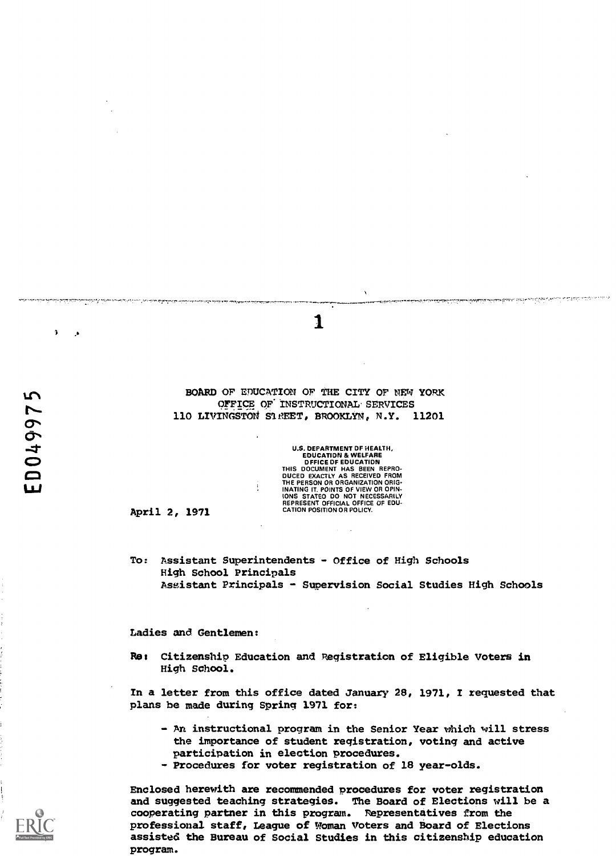## $\mathbf{1}$

an amplitude committee.

IN BOARD OF EDUCATION OF THE CITY OF NEW YORK OFFICE OF INSTRUCTIONAL SERVICES 110 LIVINGSTON S1PEET, BROOKLYN, N.Y. 11201

ŧ

U.S. DEPARTMENT OF HEALTH,<br>
EDUCATION & WELFARE<br>
DETAINS DOCUMENT HAS BEEN REPRO-<br>
THIS DOCUMENT HAS BEEN REPRO-<br>
DUCED EXCITY AS RECEIVED FROM<br>
THE PERSON OR ORGANIZATION ORIG-<br>
INATING IT. POINTS OF VIEW OR OPIN-<br>
IONS S

To: Assistant Superintendents - Office of High Schools High School Principals Assistant Principals - Supervision Social Studies High Schools

Ladies and Gentlemen:

Ro: Citizenship Education and Registration of Eligible Voters in High School.

In a letter from this office dated January 28, 1971, I requested that plans be made during Spring 1971 for:

- An instructional program in the Senior Year which will stress the importance of student registration, voting and active participation in election procedures.
- Procedures for voter registration of 18 year-olds.

Enclosed herewith are recommended procedures for voter registration and suggested teaching strategies. The Board of Elections will be a cooperating partner in this program. Representatives from the professional staff, League of Woman Voters and Board of Elections assisted the Bureau of Social Studies in this citizenship education program.

 $\pmb{\eta}$  $\bullet$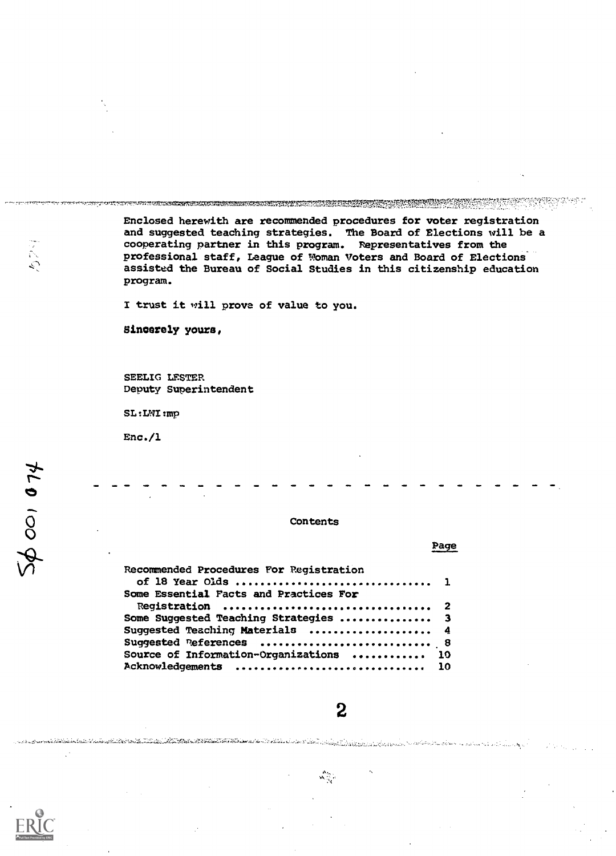Enclosed herewith are recommended procedures for voter registration and suggested teaching strategies. The Board of Elections will be a cooperating partner in this program. Representatives from the professional staff, League of Woman Voters and Board of Elections assisted the Bureau of Social Studies in this citizenship education program.

<u>TERRAT ALAM KANADI MENJERAH PERANG PERANG PADA ANG PERANG PADA ANG PERANG PADA ANG PADA ANG PADA PADA PADA PE</u>

I trust it will prove of value to you.

Sincerely yours,

SEELIG LESTER Deputy Superintendent

SL:LWI:mp

Enc./1

 $560004$ 

 $h \geq 0$ 

Contents

Page

| Recommended Procedures For Pegistration |  |
|-----------------------------------------|--|
|                                         |  |
| Some Essential Facts and Practices For  |  |
|                                         |  |
| Some Suggested Teaching Strategies  3   |  |
| Suggested Teaching Materials  4         |  |
| Suggested References  8                 |  |
| Source of Information-Organizations  10 |  |
| Acknowledgements  10                    |  |

OSPORATIONALIST TAIKA TALAN SANTA KARA TARAH YA MARA YA MARA YA MARA MARA YA MARA YA MARA YA MARA YA MARA YA MA

 $\mathbf{A} \in \mathbb{R}^{n \times n}$ 

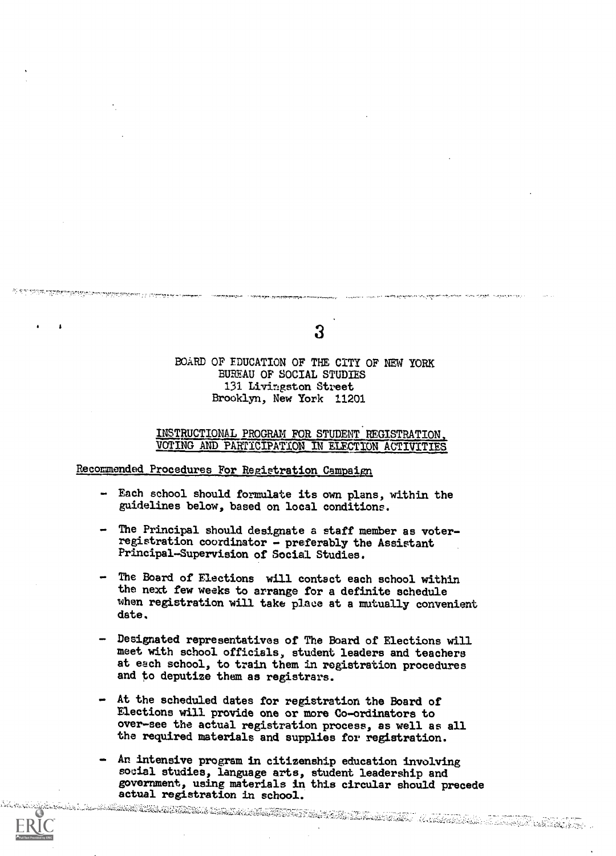# 3

BOARD OF EDUCATION OF THE CITY OF NEW YORK BUREAU OF SOCIAL STUDIES 131 Livingston Street Brooklyn, New York 11201

INSTRUCTIONAL PROGRAM FOR STUDENT REGISTRATION, VOTING AND PARTICIPATION IN ELECTION ACTIVITIES

Recommended Procedures For Registration Campaign

- Each school should formulate its own plans, within the guidelines below, based on local conditions.
- The Principal should designate a staff member as voterregistration coordinator - preferably the Assistant Principal-Supervision of Social Studies.
- The Board of Elections will contact each school within the next few weeks to arrange for a definite schedule when registration will take place at a mutually convenient date.
- Designated representatives of The Board of Elections will meet with school officials, student leaders and teachers at each school, to train them in registration procedures and to deputize them as registrars.
- At the scheduled dates for registration the Board of Elections will provide one or more Co-ordinators to over-see the actual registration process, as well as all the required materials and supplies for registration.
- An intensive program in citizenship education involving social studies, language arts, student leadership and government, using materials in this circular should precede actual registration in school.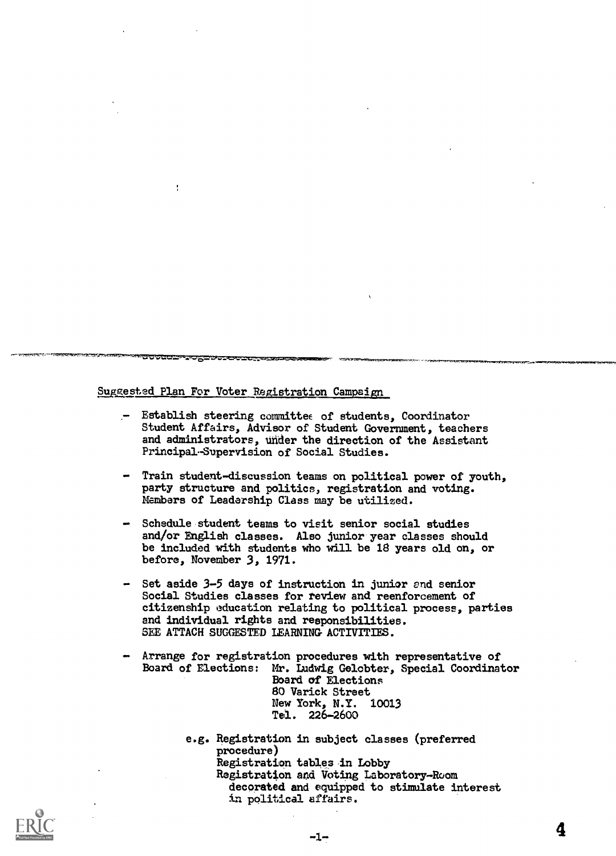Suggested Plan For Voter Registration Campaign

ÿ

- Establish steering committee of students, Coordinator Student Affairs, Advisor of Student Government, teachers and administrators, under the direction of the Assistant Principal-Supervision of Social Studies.

 $\%$ Til $\%$ R.M. Ph $\%$ laru. 1, 1,378, 1, 2007, 1071, 1071, 1071, 1071, 1071, 1081, 1081, 1081, 1081, 1081, 1081, 1081, 1081, 1081, 1081, 1081, 1081, 1081, 1081, 1081, 1081, 1081, 1081, 1081, 1081, 1081, 1081, 1081, 1081,

- Train student-discussion teams on political power of youth. party structure and politics, registration and voting. Members of Leadership Class may be utilized.
- Schedule student teams to visit senior social studies and/or English classes. Also junior year classes should be included with students who will be 18 years old on, or before, November 3, 1971.
- Set aside 3-5 days of instruction in junior and senior Social Studies classes for review and reenforcement of citizenship education relating to political process, parties and individual rights and responsibilities. SEE ATTACH SUGGESTED LEARNING ACTIVITIES.
- Arrange for registration procedures with representative of Board of Elections: Mr. Ludwig Gelobter, Special Coordinator Board of Elections 80 Varick Street New York, N.Y. 10013 Tel. 226-2600
	- e.g. Registration in subject classes (preferred procedure) Registration tables in Lobby Registration and Voting Laboratory-Room decorated and equipped to stimulate interest in political affairs.



. .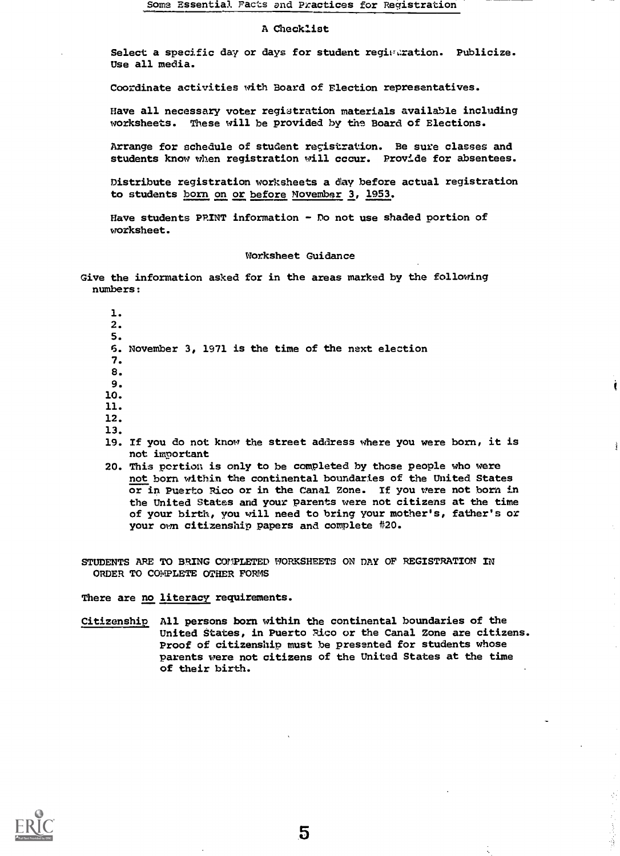### A Checklist

Select a specific day or days for student regimination. Publicize. Use all media.

Coordinate activities with Board of Election representatives.

Have all necessary voter registration materials available including worksheets. These will be provided by the Board of Elections.

Arrange for schedule of student registration. Be sure classes and students know when registration will cccur. Provide for absentees.

Distribute registration worksheets a day before actual registration to students born on or before November 3, 1953.

Have students PRINT information - Do not use shaded portion of worksheet.

### Worksheet Guidance

Give the information asked for in the areas marked by the following numbers:

1. 2. 5. G. November 3, 1971 is the time of the next election 7. 8. 9. 10. 11. 12. 13. 19. If you do not know the street address where you were born, it is not imnortant

20. This portion is only to be completed by those people who were not born within the continental boundaries of the United States or in Puerto Rico or in the Canal Zone. If you were not born in the United States and your parents were not citizens at the time of your birth, you will need to bring your mother's, father's or your own citizenship papers and complete 420.

į

Ì

Ĵ,

 $\frac{1}{2}$ 

STUDENTS ARE TO BRING COMPLETED WORKSHEETS ON DAY OF REGISTRATION IN ORDER TO COMPLETE OTHER FORMS

There are no literacy requirements.

Citizenship All persons born within the continental boundaries of the United States, in Puerto Rico or the Canal Zone are citizens. Proof of citizenship must be presented for students whose parents were not citizens of the United States at the time of their birth.



5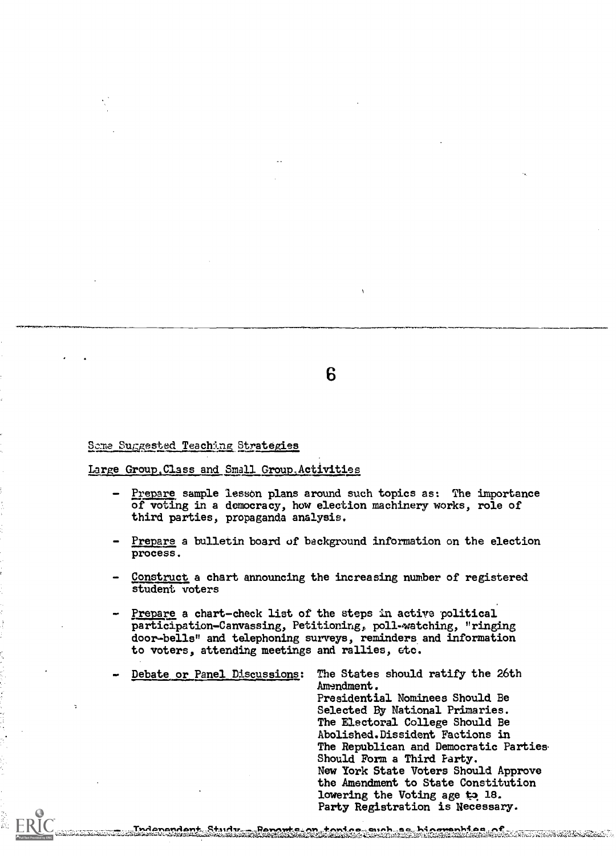## 6

### Sche Suggested Teaching Strategies

### Large Group.Class and Small Group,Activities

- Prepare sample lesson plans around such topics as: The importance of voting in a democracy, how election machinery works, role of third parties, propaganda analysis.
- Prepare a bulletin board of background information on the election process.
- Construct a chart announcing the increasing number of registered student voters
- Prepare a chart-check list of the steps in active political participation-Canvassing, Petitioning,, poll-watching, "ringing door bells" and telephoning surveys, reminders and information to voters, attending meetings and rallies, etc.
- Debate or Panel Discussions: The States should ratify the 26th Amendment. Presidential Nominees Should Be Selected By National Primaries. The Electoral College Should Be Abolished.Dissident Factions in The Republican and Democratic Parties. Should Form a Third Party. New York State Voters Should Approve the Amendment to State Constitution lowering the Voting age to 18. Party Registration is Necessary.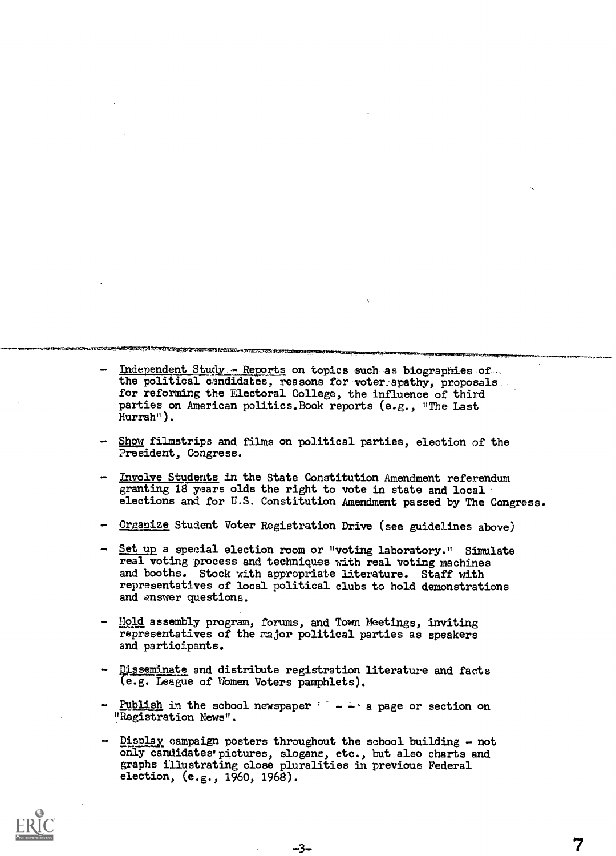Independent Study - Reports on topics such as biographies ofthe political candidates, reasons for voter apathy, proposals. for reforming the Electoral College, the influence of third parties on American politics.Book reports (e.g., "The Last Hurrah").

PSWITIT,P.mcm-Ztravectwastmetwommsee

- Show filmstrips and films on political parties, election of the President, Congress.
- Involve Students in the State Constitution Amendment referendum granting 18 years olds the right to vote in state and local elections and for U.S. Constitution Amendment passed by The Congress.
- Organize Student Voter Registration Drive (see guidelines above)
- Set up a special election room or "voting laboratory." Simulate real voting process and techniques with real voting machines and booths. Stock with appropriate literature. Staff with representatives of local political clubs to hold demonstrations and answer questions.
- Hold assembly program, forums, and Town Meetings, inviting representatives of the rajor political parties as speakers and participants.
- Disseminate and distribute registration literature and facts (e.g. League of Women Voters pamphlets).
- Publish in the school newspaper  $\cdot$   $\cdot$  a page or section on "Registration News".
- $D$ isplay campaign posters throughout the school building  $-$  not only candidates pictures, slogans, etc., but also charts and graphs illustrating close pluralities in previous Federal election, (e.g., 1960, 1968).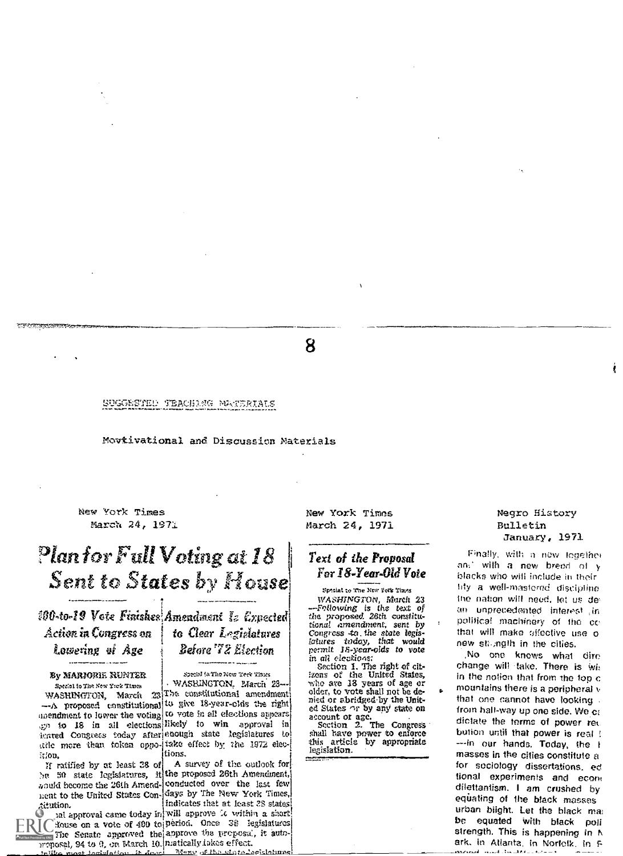## 8

SUGGESTED TEACHING MATERIALS

Movtivational and Discussion Materials

Special in The New York Times

. WASHINGTON, March 23-

New York Times March 24, 1971

# Plan for Full Voting at 18 Sent to States by Mouse

180-to-19 Vote Finishes Amendment Is Expected Action in Congress on to Clear Legislatures Before '72 Election Lowering of Age

By MARJORK RUNTER Special to The New York Times

**Program** 

WASHINGTON, March 23 The constitutional amendment -A proposed constitutional to give 18-year-olds the right mendment to lower the voting to vote in all elections appears are to 18 in all elections likely to win approval in iented Congrecs today after enough state legislatures to attle more than token oppo-take effect by the 1972 elecitions. kion.

A survey of the outlook for If ratified by at least 38 of be 50 state legislatures, it the proposed 26th Amendment, would become the 26th Amend-conducted over the last few nent to the United States Con-days by The New York Times, titution.

indicates that at least 28 states al approval came today in will approve it within a short House on a vote of 400 to period. Once 38 legislatures The Senate approved the approve the proposal, it autowoposal, 94 to 0, on March 10. natically takes effect.

tike most tomolation it does Neav of the sixter social most

### New York Times March 24, 1971

## **Text of the Proposal** For 18-Year-Old Vote

Special to The New York Times WASHINGTON, March 23 -Following is the text of<br>the proposed 26th constitutional amendment, sent by Congress to the state legis-<br>latures today, that would permit 18-year-olds to vote

fin all decidents.<br>Section 1. The right of cit-<br>izens of the United States,<br>who are 18 years of age or<br>older, to yote shall not be denied or abridged by the United States or by any state on

account of age.<br>Section 2. The Congress shall have power to enforce this article by appropriate legislation.

### Negro History Bulletin January, 1971

Finally, with a new logelher and with a new breed of y blacks who will include in their tify a well-mastered discipline the nation will need, let us de an unprecedented interest in political machinery of the ecthat will make affective use o new shungth in the cities.

No one knows what dire change will take. There is wis in the notion that from the top c mountains there is a peripheral v that one cannot have looking. from half-way up one side. We ca dictate the terms of power red bution until that power is real ! ---in our hands. Today, the I masses in the cities constitute a for sociology dissertations, ed tional experiments and econe dilettantism. I am crushed by equating of the black masses urban biight. Let the black ma: be equated with black poli strength. This is happening in N ark. in Atlanta, in Norfolk, in F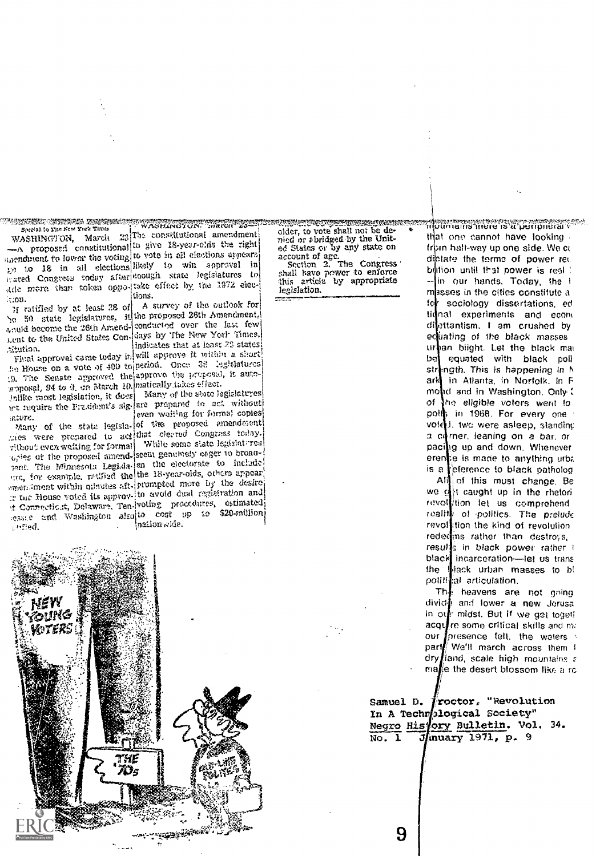WERE THE REPORT TO THE REPORT OF THE REPORT OF THE TIME TO THE TIME OF THE TIME OF THE TIME TO THE TIME THAT T Special to The New York Times WASHINGTON, March 22 The constitutional amendment -A proposed constitutional to give 18-year-olds the right menditiont to lower the voting to vote in all elections amears ge to 18 in all elections likely to win approval in inated Congress today after enough state legislatures to and more than token oppositake effect by the 1972 elecitions.  $.300.$ A survey of the outlook for

indicates that at least 28 states!

If ratified by at least 38 of be 50 state legislatures, it the proposed 26th Amendment. would become the 26th Amend-conducted over the last few Lent to the United States Con-days by The New York Times, sitution.

Final approval came today in will approve it within a short the House on a vote of 400 to period. Once 38 legislatures 19. The Senate approved the approve the proposal, it automoposal, 94 to 0, en March 10 matically takes effect. Inlike most legislation, it does Many of the state legislatures act require the Francisco sig-are prepared to act without even waiting for formal copies inture.

Many of the state legisla- of the proposed emendeent thes were prepared to actithat elected Congrass follay. vithout even waiting for formal While some state legislatures opies of the proposed amend-seem genuinely eager to broadjent. The Minnesota Legisla- en the electorate to include erc, for example, ratified the the 18-year-olds, others appear amendment within minutes aft-prompted more by the desire it Connecticit, Delaware, Ten-voting procedures, estimated gaste and Washington also to cost up to \$20-million anfied.

nation wide.

older, to vote shall not be denied or abridged by the United States or by any state on account of age.<br>Section 2. The Congress

shall have power to enforce this article by appropriate legislation.

that one cannot have looking from half-way up one side. We ca dictate the terms of power red buttion until that nower is real ! -- in our hands. Today, the t masses in the cities constitute a for seciology dissertations, ed tidnal experiments and econd dilettantism. I am crushed by ecluating of the black masses urban biight. Let the black mas ່ນຕ່ equated with black poli strength. This is happening in N ark in Atlanta, in Norfolk, in F moud and in Washington, Only C of the eligible voters went to polls in 1968. For every one voted. two were asleep, standing a corner, leaning on a bar, or pacing up and down. Whenever erentie is made to anything urb. is a reference to black patholog

All of this must change. Be we git caught up in the rhetori revolition let us comprehend reality of politics. The pretude revolution the kind of revolution rededins rather than destroys, results in black power rather t black incarceration-let us trans the Mack urban masses to b! political articulation.

The heavens are not going divide and lower a new Jerusa in our midst. But if we get toget! acquire some critical skills and ma our foresence felt, the waters part We'll march across them I dry liand, scale high mountains a make the desert blossom like a ro

roctor, "Revolution" Samuel D. In A Techn blogical Society" ory Bulletin. Vol. 34. Negro Hist  $N_O$ . I J/muary 1971, p. 9

9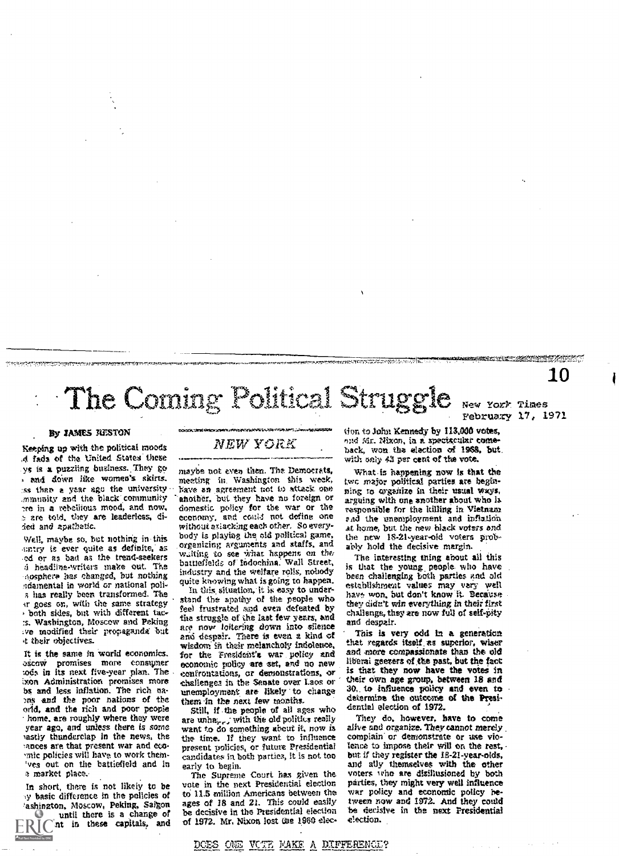rent reten tot tot tot tot to the lead of the street were the state with the street of the street of the street<br>Although the street of the street of the street of the street of the street of the street of the street of the 10

The Coming Political Struggle New York Times New York Times February 17, 1971

### By JAMES RESTON

Keeping up with the political moods ,d fads of the United States. these vs is a puzzling business. They go ere in a rebellious mood, and now, e are told. they are leaderless, elided and apathetic.

i headline-writers make out. The elespherta has charged, but nothing edamental in world or national polls has really been transformed. The has situation, it is easy to underit goes on, with the same strategy bath sides, but with different tac-,ve modified their propagande but kt their objectives.

escow promises more consumer ton Administration promises more be and less inflation. The rich na-Me and the poor nations of the orid, and the rich and poor people home, are roughly where they were year age, and unless there is some iastly thunderclap in the news, the einces are that present war and eonves out on the battiesield and in early to begin. e market place.

In short, there is not likely to be ty basic difference in the policies of 'ashington, Moscow, Peking, Saigon<br>
Until there is a change of nt in these capitals, and

and down like women's skirts. meeting in Washington this week, es than a year ago the university may an agreement not to attack one minutity and the black community manoiher, but they have no foreign or the in a rebellious mood, and now, domestic policy for the war or the Well, maybe so, but nothing in this body is playing the old political game,<br>water is guar outto as definite as organizing arguments and staffs, and entry is ever quite as definite, as organizing arguments and staffs, and od or as bad as the trend-seekers whitting to see what happens on the maybe not even then. The Democrats, another, but they have no foreign or economy, and could not define one without atiacking each other. So everybody is playing the old political game, the new 18-21-year-old voters organizing arguments and staffs. and which halp hold the decisive margin.

:s. Washington, Moscow and Peking the struggle of the last lew years, and<br>in analitied their presented but are now lottering down into silence **It is the same in world economics.** wisdom in their melancholy indolence,<br>It is the same in world economics. for the Fresident's war policy and iode in its next five-year plan. The confrontations, or demonstrations, or confrontations, or demonstrations, or stand the apathy of the people who feel frustrated nod even defeated by the struggle of the last few years, and and despair. There is even a kind of This is very odd in a generation<br>wiedow is their melancholy indolesce. That regards itself as superior, wiser for the Fresident's war policy and and more compassionate than the old component multiple  $\frac{1}{2}$  are  $\frac{1}{2}$  . The fact economic policy are set, and no new confrontations, or demonstrations, or unemployment are likely to change  $30$ , to influence policy and even to the Presi-<br>them in the next few months.  $\det(\theta)$  determine the outcome of the Presitherm in the next few months.

Still, if the people of all ages who are unhe $_{\text{free}}$ , with the old politics really want to do something about it, now is the time. If they want to influence present policies, or future Presidential candidates in both parties, it is not too but if they register the 18-21-year-olds,<br>early to begin. and ally themselves with the other

vote in the next Presidential election parties, they might very well influence<br>to 11.5 million Americans between the war policy and economic policy beto 11.5 million Americans between the ages of 18 and 21. This could easily tween now and 1972. And they could be decisive in the Presidential election be decisive in the presidential be decisive in the Presidential election of 1972. Mr. Nixon lost the 1960 elec-

NEW YORK and Mr. Rixon, ia a spectacular come Gion to John Kennedy by 113,000 votes, back, won the election of 1968. but. with only 41 per cent of the vote.

meeting in Washington this week, two major political parties are begin-<br>Eave an agreement not to attack one, ping to organize in their usual ways. What is happening now is that the arguing with one another about who Is responsible for the killing in Vietnam and the unemployment and inflation at home, but the new black voters and the new 18-21-year-old voters prob-

industry and the welfare rolls, nobody<br>been challenging both parties and old quite knowing what is going to happen. Been changing point parais and one The interesting thing about all this is that the young people who have have won, but don't know it. Because they didn't win everything in their first challenge, they are now full of self-pity and despair.

> This Is very odd In a generation and more compassionate than the old is that they now have the votes in their own age group, between 18 and 30, to influence policy and even to dential election of 1972.

The Supreme Court has given the voters who are disillusioned by both They do, however, have to come alive and organize. They cannot merely complain' or demonstrate or use violence to impose their will on the rest, but if they register the 18-21-year-olds, parties, they might very well influence tween now and 1972. And they could election.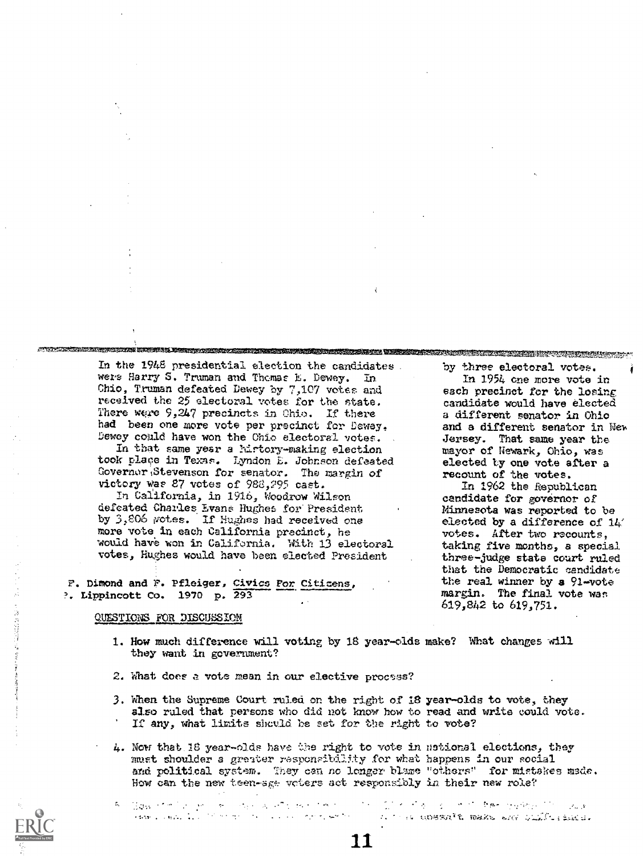In the 1948 presidential election the candidates. were Harry 5. Truman and Themas E. Dewey. In Chio, Truman defeated Dewey by 7,107 votes and received the 25 electoral votes for the state. There were 9,247 precincts in Chio. If there had been one more vote per precinct for Deway. Dewey could have won the Chic electoral votes.

. IT THE CONTROL OF THE RELEASE OF THE RELEASE CONTROL CONTROL CONTROL CONTROL CONTROL CONTROL

In that same year a history-making election took place in Texas. Lyndon E. Johnson defeated Governor Stevenson for senator. The margin of victory was 87 votes of 988,295 cast.

In California, in 1916, Woodrow Wilson defeated Charles Evans Hughes for President<br>by 3,806 wotes. If Hughes had received one more vote in each California precinct, he would have won in California. With 13 electoral votes, Hughes would have been elected President

F. Dimond and F. Pfleiger, Civics For Citizens, ?. Lippincott Co. 1970 p. 293

### **QUESTIONS FOR DISCUSSION**

计语言语言语言语言语言

In 1954 one more vote in

by three electoral votes.

en et al **termine de la construction de la construction de la construction de la construction de la construction d** 

each precinct for the losing candidate would have elected a different senator in Ohio and a different senator in New Jersey. That same year the mayor of Newark, Ohio, was elected by one vote after a recount of the votes.

In 1962 the Republican candidate for governor of Minnesota was reported to be elected by a difference of 14 votes. After two recounts, taking five months, a special three-judge state court ruled that the Democratic candidate the real winner by a 91-vote margin. The final vote was  $619,842$  to  $619,751$ .

- 1. How much difference will voting by 18 year-olds make? What changes will they want in government?
- 2. What does a vote mean in our elective process?
- 3. When the Supreme Court ruled on the right of 18 year-olds to vote, they also ruled that persons who did not know how to read and write could vote. If any, what limits should be set for the right to vote?
- 4. Now that 18 year-olds have the right to vote in notional elections, they must shoulder a greater responsibility for what happens in our social and political system. They can no longer blame "others" for mistakes made. How can the new teen-sge voters act responsibly in their new role?
- 1999 2019 12:00:00 10:00 10:00 10:00 10:00 10:00 10:00 10:00 10:00 10:00 10:00 10:00 10:00 10:00 10:00 10:00 1 Bookbay starful general style worth and taken in states and application of the states of the control of the state of the states A TO IS COMMON TO TORMS AND START I BAKEL.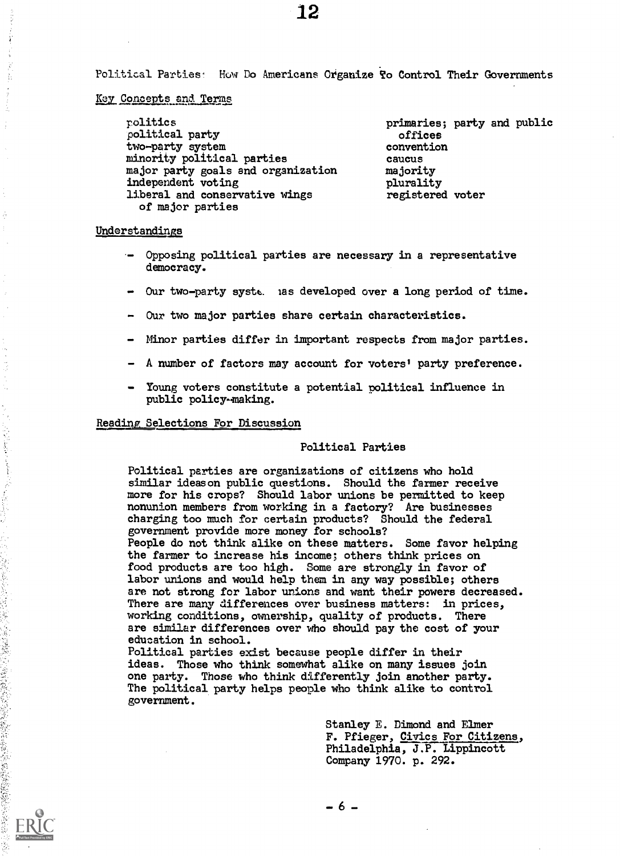Political Parties: How Do Americans Organize To Control Their Governments

### Key Concepts and Terms

politics political party two-party system minority political parties major party goals and organization independent voting liberal and conservative wings of major parties

primaries; party and public offices convention caucus majority plurality registered voter

### Understandings

- Opposing political parties are necessary in a representative democracy.
- Our two-party syste. as developed over a long period of time.
- Our two major parties share certain characteristics.
- Minor parties differ in important respects from major parties.
- A number of factors may account for voters' party preference.
- Young voters constitute a potential political influence in public policy-making.

### Reading Selections For Discussion

### Political Parties

Political parties are organizations of citizens who hold similar ideason public questions. Should the farmer receive more for his crops? Should labor unions be permitted to keep nonunion members from working in a factory? Are businesses charging too much for certain products? Should the federal government provide more money for schools? People do not think alike on these matters. Some favor helping the farmer to increase his income; others think prices on food products are too high. Some are strongly in favor of labor unions and would help them in any way possible; others are not strong for labor unions and want their powers decreased. There are many differences over business matters: in prices, working conditions, ownership, quality of products. There are similar differences over who should pay the cost of your education in school.

Political parties exist because people differ in their ideas. Those who think somewhat alike on many issues join one party. Those who think differently join another party. The political party helps people who think alike to control government.

> Stanley E. Dimond and Elmer F. Pfieger, Civics For Citizens, Philadelphia, J.P. Lippincott Company 1970. p. 292.





医子宫膜炎

- 1. 1992年4月19日により、1992年には、1992年には、1992年には、1992年には、1992年には、1992年には、1992年には、1992年には、1992年には、1992年には、1<br>1992年には、1992年には、1992年には、1992年には、1992年には、1992年には、1992年には、1992年には、1992年には、1992年には、1992年には、1992年には、1992年には、1992年に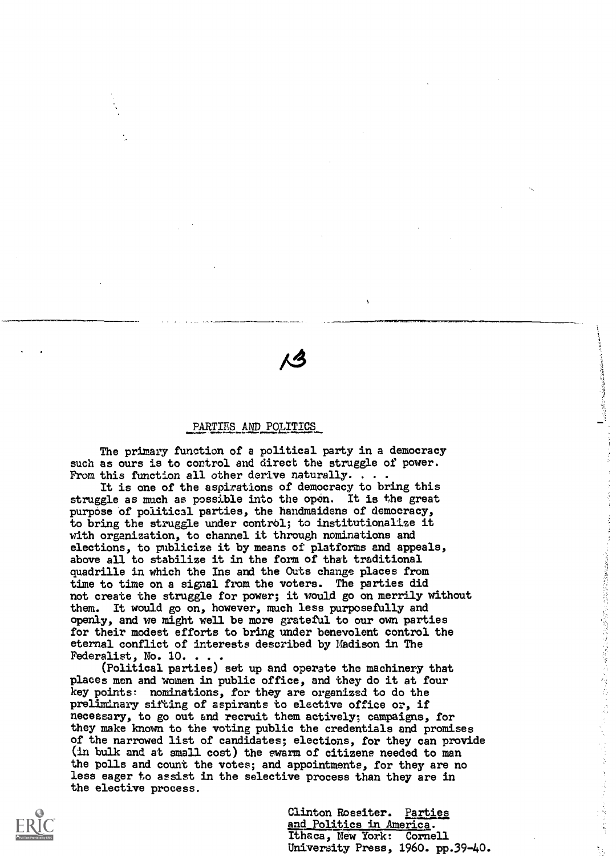### PARTIES AND POLITICS

The primary function of a political party in a democracy such as ours is to control and direct the struggle of power. From this function all other derive naturally.  $\ldots$ .

It is one of the aspirations of democracy to bring this struggle as much as possible into the open. It is the great purpose of political parties, the handmaidens of democracy, to bring the struggle under control; to institutionalize it with organization, to channel it through nominations and elections, to publicize it by means of platforms and appeals, above all to stabilize it in the form of that traditional quadrille in which the Ins and the Outs change places from time to time on a signal from the voters. The parties did not create the struggle for power; it would go on merrily without them. It would go on, however, much less purposefully and openly, and we might well be more grateful to our on parties for their modest efforts to bring under benevolent control the eternal conflict of interests described by Madison in The Federalist, No. 10. . .

(Political parties) set up and operate the machinery that places men and women in public office, and they do it at four key points! nominations, for they are organized to do the preliminary sifting of aspirants to elective office or, if necessary, to go out and recruit them actively; campaigns, for they make known to the voting public the credentials and promises of the narrowed list of candidates; elections, for they can provide (in bulk and at small cost) the swarm of citizens needed to man the polls and count the votes; and appointments, for they are no less eager to assist in the selective process than they are in the elective process.

> Clinton Rossiter. Parties and Politics in America. Ithaca, New York: Cornell University Press, 1960. pp.39-40.

(医療機関機関線を持って、医療機関は、特定の過程を利用することができる)。 しゅうしょう

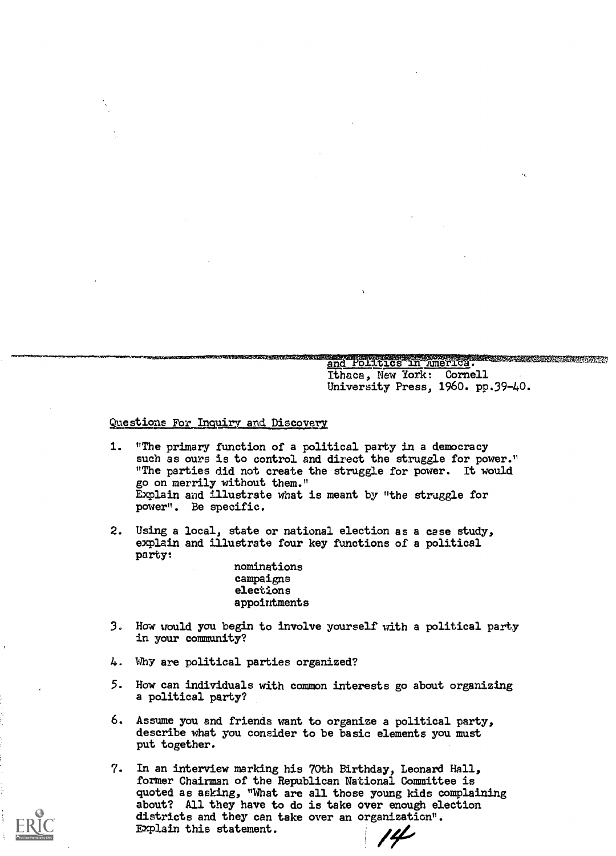and Politics in America. Ithaca, New York: Cornell University Press, 1960. pp.39-40.

### Questions For Inquiry and Discovery

.1".ersof..o..r.rtenZZOSellatoteZEleati.P.MCIEWMOS

- 1. "The primary function of a political party in a democracy such as ours is to control and direct the struggle for power." "The parties did not create the struggle for power. It would go on merrily without them." Explain and illustrate what is meant by "the struggle for power". Be specific.
- 2. Using a local, state or national election as a case study, explain and illustrate four key functions of a political party:

nominations campaigns elections appointments

- 3. How would you begin to involve yourself with a political party in your community?
- 4. Why are political parties organized?
- 5. How can individuals with common interests go about organizing a political party?
- 6. Assume you and friends want to organize a political party, describe what you consider to be basic elements you must put together.
- 7. In an interview marking his 70th Birthday, Leonard Hall, former Chairman of the Republican National Committee is quoted as asking, "What are all those young kids complaining about? All they have to do is take over enough election districts and they can take over an organization". Explain this statement.

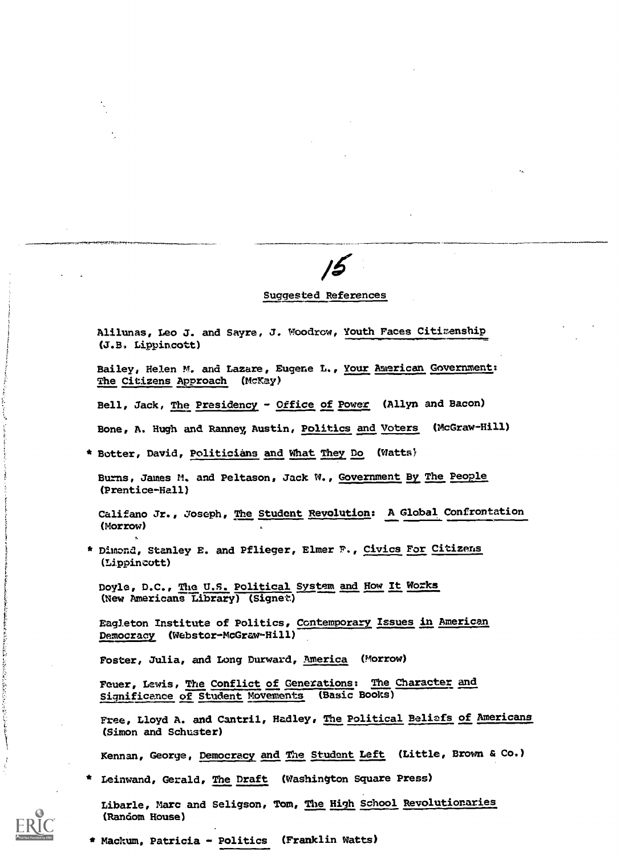/4'

### Suggested References

Alilunas, Leo J. and Sayre, J. Woodrow, Youth Faces Citizenship (J.B. Lippincott)

Bailey, Helen M. and Lazare, Eugene L., Your American Government: The Citizens Approach (McKay)

Bell, Jack, The Presidency - Office of Power (Allyn and Bacon)

Bone, A. Hugh and Ranney, Austin, Politics and Voters (McGraw-Hill)

\* Better, David, Politicians and What They Do (Watts)

Burns, James M. and Peltason, Jack W., Government By The People (Prentice-Hall)

Califano Jr., Joseph, The Student Revolution: A Global Confrontation (Morrow)

\* Dimond, Stanley E. and Pflieger, Elmer F., Civics For Citizens (Lippincott)

Doyle, D.C., The U.S. Political System and How It Works (New Americans Library) (Signet)

Eagleton Institute of Politics, Contemporary Issues in American Democracy (Webster-McGraw-Hill)

Foster, Julia, and Long Durward, America (Morrow)

กลับที่สุดสังครั้งสังคม สมบัติการณ์ สมบัติการณ์ สมบัติการณ์ เป็นประเทศไทยที่ เป็นประเทศไทยที่ เป็นประเทศไทยที่

Feuer, Lewis, The Conflict of Generations: The Character and Significance of Student Movements (Basic Books)

Free, Lloyd A. and Cantril, Hadley, The Political Beliefs of Americans (Simon and Schuster)

Kennan, George, Democracy and The Student Left (Little, Brown & Co.)

\* Leinwand, Gerald, The Draft (Washington Square Press)

Libarle, Marc and Seligson, Tom, The High School Revolutionaries (Random House)

\* Mackum, Patricia - Politics (Franklin Watts)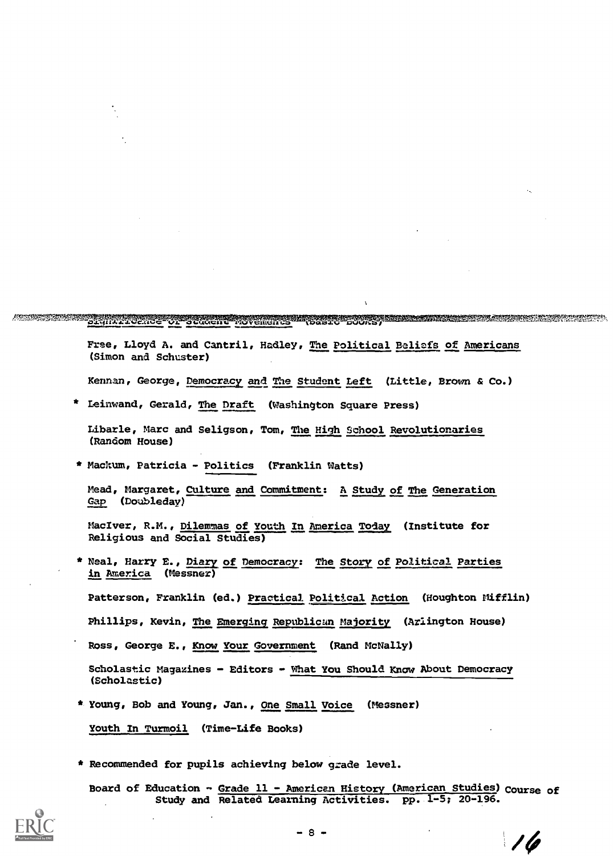## C VL O4.4tl O4.4tl O4.000 COMPANING A 4., in the MI V CIRCLE COMPANING A 4. MANINERS AND MANINERS AND MANINERS

Free, Lloyd A. and Cantril, Hadley, The Political Beliefs of Americans (Simon and Schuster)

Kennan, George, Democracy and The Student Left (Little, Brown & Co.)

\* Leinwand, Gerald, The Draft (Washington Square Press)

Libarle, Marc and Seligson, Tom, The High School Revolutionaries (Random House)

\* Mackum, Patricia - Politics (Franklin Watts)

Mead, Margaret, Culture and Commitment: A Study of The Generation Gap (Doubleday)

MacIver, R.M., Dilemmas of Youth In America Today (Institute for Religious and Social Studies)

\* Neal, Harry E., Diary of Democracy: The Story of Political Parties in America (Messner)

Patterson, Franklin (ed.) Practical Political Action (Houghton Mifflin)

Phillips, Kevin, The Emerging Republican Majority (Arlington House)

Ross, George E., Know Your Government (Rand McNally)

Scholastic Magazines - Editors - What You Should Know About Democracy (Scholastic)

\* Young, Bob and Young, Jan., One Small Voice (Messner)

Youth In Turmoil (Time-Life Books)

\* Recommended for pupils achieving below grade level.

Board of Education - Grade 11 - American History (American Studies) Course of Study and Related Learning Activities. pp. 1-5; 20-196.

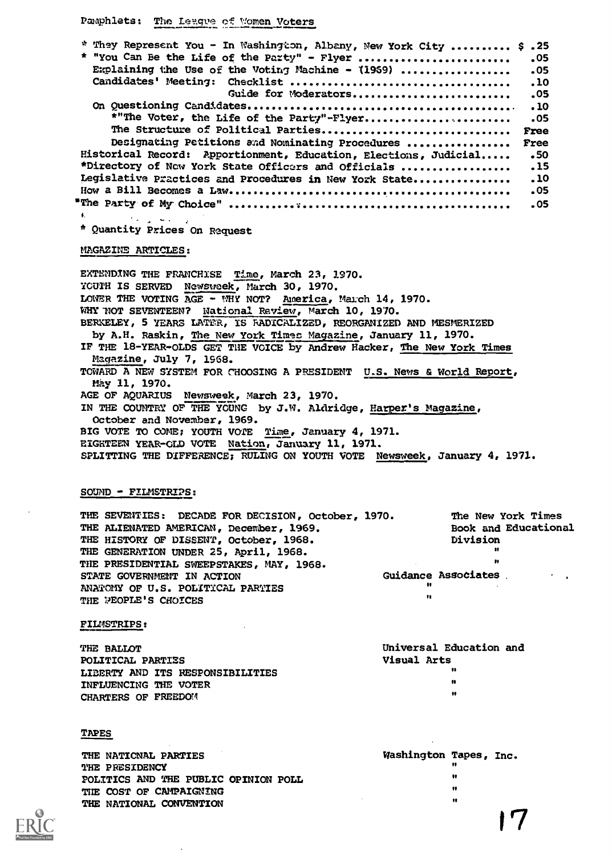Pamphlets: The League of Women Voters

| * They Represent You - In Washington, Albany, New York City  \$ .25       |
|---------------------------------------------------------------------------|
| * "You Can Be the Life of the Party" - Flyer<br>.05                       |
| Explaining the Use of the Voting Machine - (1969)<br>.05                  |
| .10                                                                       |
| Guide for Moderators<br>.05                                               |
| .10                                                                       |
| *"The Voter, the Life of the Party"-Flyer<br>.05                          |
| The Structure of Political Parties<br>Free                                |
| Designating Petitions and Nominating Procedures<br>Free                   |
| Historical Record: Apportionment, Education, Elections, Judicial<br>.50   |
| *Directory of New York State Officers and Officials<br>. 15               |
| Legislative Practices and Procedures in New York State<br>.10             |
| .05                                                                       |
| .05                                                                       |
| $\ddot{\bullet}$<br>الوارد والمحارب والمحارب                              |
| * Quantity Prices On Request                                              |
|                                                                           |
| MAGAZINE ARTICLES:                                                        |
|                                                                           |
| EXTENDING THE FRANCHISE Time, March 23, 1970.                             |
| YOUTH IS SERVED Newsweek, March 30, 1970.                                 |
| LOWER THE VOTING AGE - WHY NOT? America, March 14, 1970.                  |
| WHY NOT SEVENTEEN? National Review, March 10, 1970.                       |
| BERKELEY, 5 YEARS LATER, IS RADICALIZED, REORGANIZED AND MESMERIZED       |
| by A.H. Raskin, The New York Times Magazine, January 11, 1970.            |
| IF THE 18-YEAR-OLDS GET THE VOICE by Andrew Hacker, The New York Times    |
| Magazine, July 7, 1968.                                                   |
| TOWARD A NEW SYSTEM FOR CHOOSING A PRESIDENT U.S. News & World Report,    |
| May 11, 1970.                                                             |
| AGE OF AQUARIUS Newsweek, March 23, 1970.                                 |
| IN THE COUNTRY OF THE YOUNG by J.W. Aldridge, Harper's Magazine,          |
| October and November, 1969.                                               |
| BIG VOTE TO COME; YOUTH VOTE Time, January 4, 1971.                       |
| EIGHTEEN YEAR-OLD VOTE Nation, January 11, 1971.                          |
| SPLITTING THE DIFFERENCE; RULING ON YOUTH VOTE Newsweek, January 4, 1971. |
|                                                                           |
|                                                                           |
|                                                                           |
| SOUND - FILMSTRIPS:                                                       |
|                                                                           |

THE SEVENTIES: DECADE FOR DECISION, October, 1970. The New York Times<br>THE ALIENATED AMERICAN, December, 1969. Book and Educational THE ALIENATED AMERICAN, December, 1969. Book and THE HISTORY OF DISSENT, October, 1968. Bivision THE HISTORY OF DISSENT, October, 1968. Division Division THE GENERATION UNDER 25, April, 1968. THE PRESIDENTIAL SWEEPSTAKES, MAY, 1968.<br>STATE GOVERNMENT IN ACTION  $\mathbf{R}$ STATE GOVERNMENT IN ACTION Guidance Associates (1999) ANATOMY OF U.S. POLITICAL PARTIES  $\bar{\mathbf{u}}$ THE PEOPLE'S CHOICES

17

### FILMSTRIPS:

| <b>THE BALLOT</b>                | Universal Education and |  |
|----------------------------------|-------------------------|--|
| <b>POLITICAL PARTIES</b>         | Visual Arts             |  |
| LIBERTY AND ITS RESPONSIBILITIES |                         |  |
| INFLUENCING THE VOTER            | n                       |  |
| CHARTERS OF FREEDOM              |                         |  |

### TAPES

| THE NATIONAL PARTIES                 | Washington Tapes, Inc. |    |  |
|--------------------------------------|------------------------|----|--|
| THE PRESIDENCY                       |                        |    |  |
| POLITICS AND THE PUBLIC OPINION POLL |                        | 11 |  |
| THE COST OF CAMPAIGNING              |                        |    |  |
| THE NATIONAL CONVENTION              |                        |    |  |
|                                      |                        |    |  |

 $\ddot{\phantom{a}}$